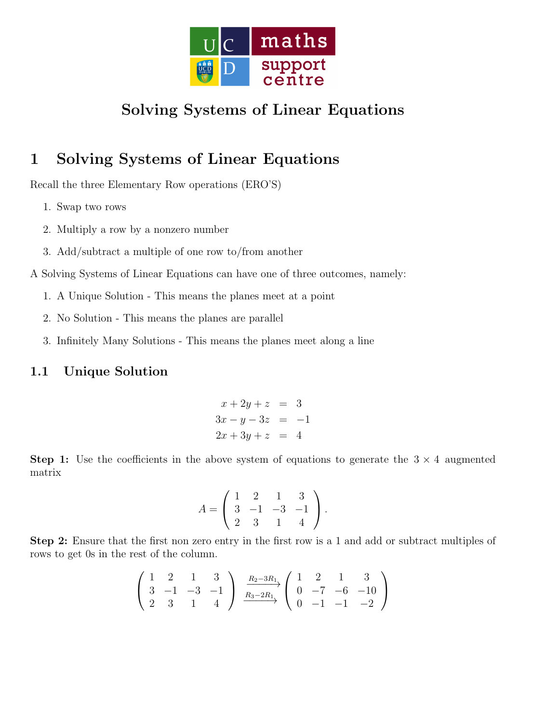

# Solving Systems of Linear Equations

## 1 Solving Systems of Linear Equations

Recall the three Elementary Row operations (ERO'S)

- 1. Swap two rows
- 2. Multiply a row by a nonzero number
- 3. Add/subtract a multiple of one row to/from another

A Solving Systems of Linear Equations can have one of three outcomes, namely:

- 1. A Unique Solution This means the planes meet at a point
- 2. No Solution This means the planes are parallel
- 3. Infinitely Many Solutions This means the planes meet along a line

### 1.1 Unique Solution

$$
x + 2y + z = 3
$$
  
\n
$$
3x - y - 3z = -1
$$
  
\n
$$
2x + 3y + z = 4
$$

**Step 1:** Use the coefficients in the above system of equations to generate the  $3 \times 4$  augmented matrix

$$
A = \left(\begin{array}{rrr} 1 & 2 & 1 & 3 \\ 3 & -1 & -3 & -1 \\ 2 & 3 & 1 & 4 \end{array}\right).
$$

Step 2: Ensure that the first non zero entry in the first row is a 1 and add or subtract multiples of rows to get 0s in the rest of the column.

$$
\left(\begin{array}{rrr} 1 & 2 & 1 & 3 \\ 3 & -1 & -3 & -1 \\ 2 & 3 & 1 & 4 \end{array}\right) \xrightarrow[R_2-3R_1]{R_2-3R_1} \left(\begin{array}{rrr} 1 & 2 & 1 & 3 \\ 0 & -7 & -6 & -10 \\ 0 & -1 & -1 & -2 \end{array}\right)
$$